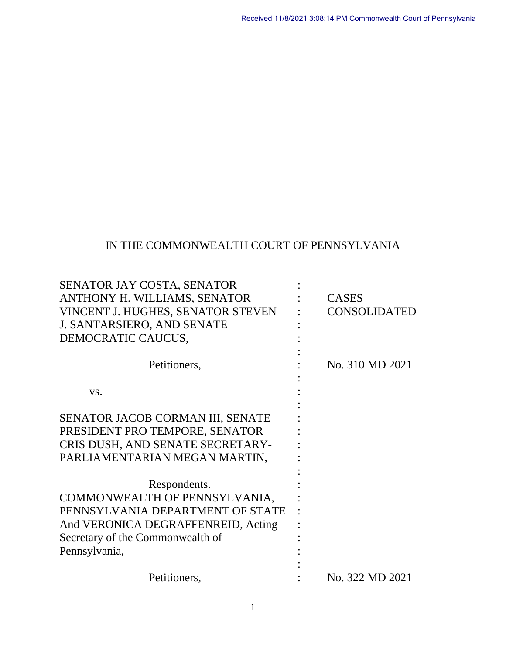## IN THE COMMONWEALTH COURT OF PENNSYLVANIA

| SENATOR JAY COSTA, SENATOR         |                     |
|------------------------------------|---------------------|
| ANTHONY H. WILLIAMS, SENATOR       | <b>CASES</b>        |
| VINCENT J. HUGHES, SENATOR STEVEN  | <b>CONSOLIDATED</b> |
| <b>J. SANTARSIERO, AND SENATE</b>  |                     |
| DEMOCRATIC CAUCUS,                 |                     |
| Petitioners,                       | No. 310 MD 2021     |
|                                    |                     |
| VS.                                |                     |
|                                    |                     |
| SENATOR JACOB CORMAN III, SENATE   |                     |
| PRESIDENT PRO TEMPORE, SENATOR     |                     |
| CRIS DUSH, AND SENATE SECRETARY-   |                     |
| PARLIAMENTARIAN MEGAN MARTIN,      |                     |
|                                    |                     |
| Respondents.                       |                     |
| COMMONWEALTH OF PENNSYLVANIA,      |                     |
| PENNSYLVANIA DEPARTMENT OF STATE   |                     |
| And VERONICA DEGRAFFENREID, Acting |                     |
| Secretary of the Commonwealth of   |                     |
| Pennsylvania,                      |                     |
|                                    |                     |
| Petitioners,                       | No. 322 MD 2021     |
|                                    |                     |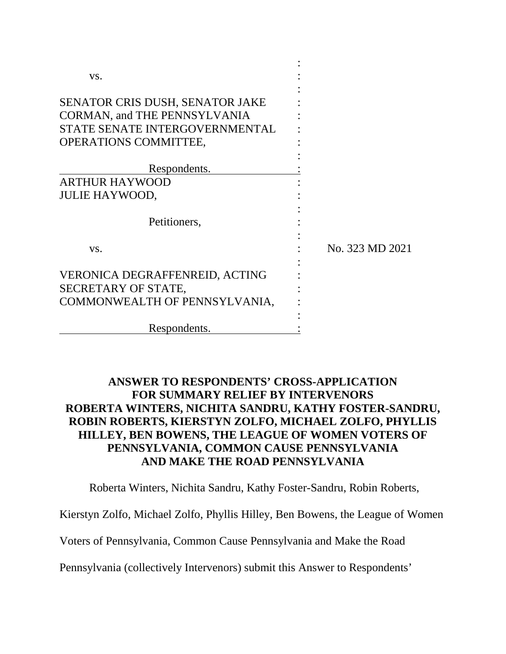| VS.                                                                                                                                             |                 |
|-------------------------------------------------------------------------------------------------------------------------------------------------|-----------------|
| <b>SENATOR CRIS DUSH, SENATOR JAKE</b><br><b>CORMAN, and THE PENNSYLVANIA</b><br>STATE SENATE INTERGOVERNMENTAL<br><b>OPERATIONS COMMITTEE,</b> |                 |
|                                                                                                                                                 |                 |
| Respondents.                                                                                                                                    |                 |
| <b>ARTHUR HAYWOOD</b>                                                                                                                           |                 |
| <b>JULIE HAYWOOD,</b>                                                                                                                           |                 |
| Petitioners,                                                                                                                                    |                 |
| VS.                                                                                                                                             | No. 323 MD 2021 |
| <b>VERONICA DEGRAFFENREID, ACTING</b>                                                                                                           |                 |
| SECRETARY OF STATE,                                                                                                                             |                 |
| COMMONWEALTH OF PENNSYLVANIA,                                                                                                                   |                 |
|                                                                                                                                                 |                 |
| Respondents.                                                                                                                                    |                 |

## **ANSWER TO RESPONDENTS' CROSS-APPLICATION FOR SUMMARY RELIEF BY INTERVENORS ROBERTA WINTERS, NICHITA SANDRU, KATHY FOSTER-SANDRU, ROBIN ROBERTS, KIERSTYN ZOLFO, MICHAEL ZOLFO, PHYLLIS HILLEY, BEN BOWENS, THE LEAGUE OF WOMEN VOTERS OF PENNSYLVANIA, COMMON CAUSE PENNSYLVANIA AND MAKE THE ROAD PENNSYLVANIA**

Roberta Winters, Nichita Sandru, Kathy Foster-Sandru, Robin Roberts,

Kierstyn Zolfo, Michael Zolfo, Phyllis Hilley, Ben Bowens, the League of Women

Voters of Pennsylvania, Common Cause Pennsylvania and Make the Road

Pennsylvania (collectively Intervenors) submit this Answer to Respondents'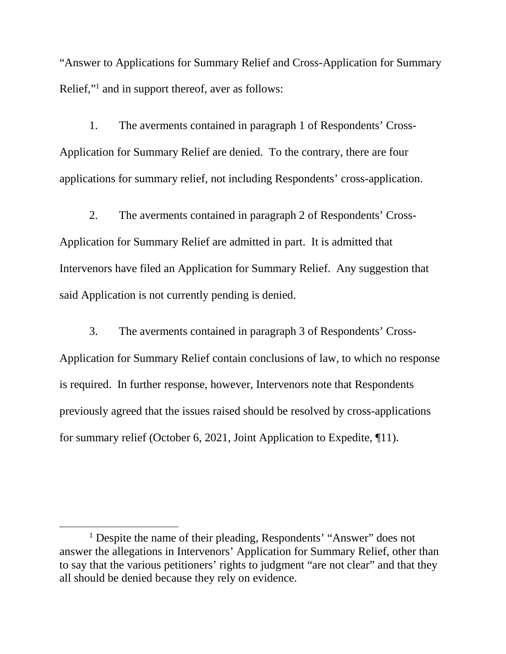"Answer to Applications for Summary Relief and Cross-Application for Summary Relief,"<sup>[1](#page-2-0)</sup> and in support thereof, aver as follows:

1. The averments contained in paragraph 1 of Respondents' Cross-Application for Summary Relief are denied. To the contrary, there are four applications for summary relief, not including Respondents' cross-application.

2. The averments contained in paragraph 2 of Respondents' Cross-Application for Summary Relief are admitted in part. It is admitted that Intervenors have filed an Application for Summary Relief. Any suggestion that said Application is not currently pending is denied.

3. The averments contained in paragraph 3 of Respondents' Cross-Application for Summary Relief contain conclusions of law, to which no response is required. In further response, however, Intervenors note that Respondents previously agreed that the issues raised should be resolved by cross-applications for summary relief (October 6, 2021, Joint Application to Expedite, ¶11).

<span id="page-2-0"></span><sup>&</sup>lt;sup>1</sup> Despite the name of their pleading, Respondents' "Answer" does not answer the allegations in Intervenors' Application for Summary Relief, other than to say that the various petitioners' rights to judgment "are not clear" and that they all should be denied because they rely on evidence.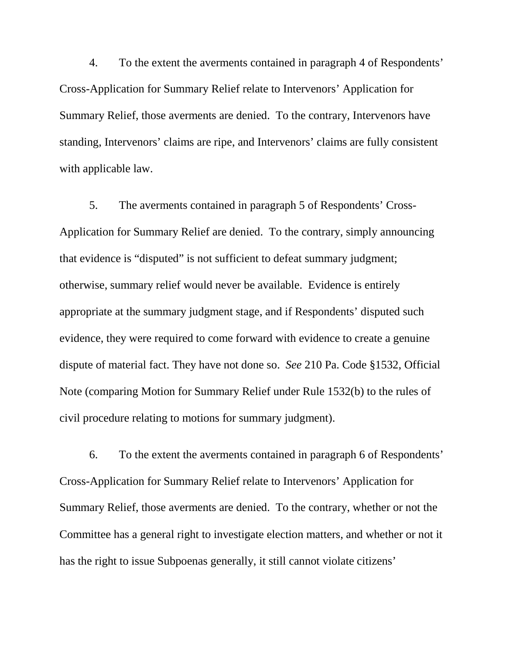4. To the extent the averments contained in paragraph 4 of Respondents' Cross-Application for Summary Relief relate to Intervenors' Application for Summary Relief, those averments are denied. To the contrary, Intervenors have standing, Intervenors' claims are ripe, and Intervenors' claims are fully consistent with applicable law.

5. The averments contained in paragraph 5 of Respondents' Cross-Application for Summary Relief are denied. To the contrary, simply announcing that evidence is "disputed" is not sufficient to defeat summary judgment; otherwise, summary relief would never be available. Evidence is entirely appropriate at the summary judgment stage, and if Respondents' disputed such evidence, they were required to come forward with evidence to create a genuine dispute of material fact. They have not done so. *See* 210 Pa. Code §1532, Official Note (comparing Motion for Summary Relief under Rule 1532(b) to the rules of civil procedure relating to motions for summary judgment).

6. To the extent the averments contained in paragraph 6 of Respondents' Cross-Application for Summary Relief relate to Intervenors' Application for Summary Relief, those averments are denied. To the contrary, whether or not the Committee has a general right to investigate election matters, and whether or not it has the right to issue Subpoenas generally, it still cannot violate citizens'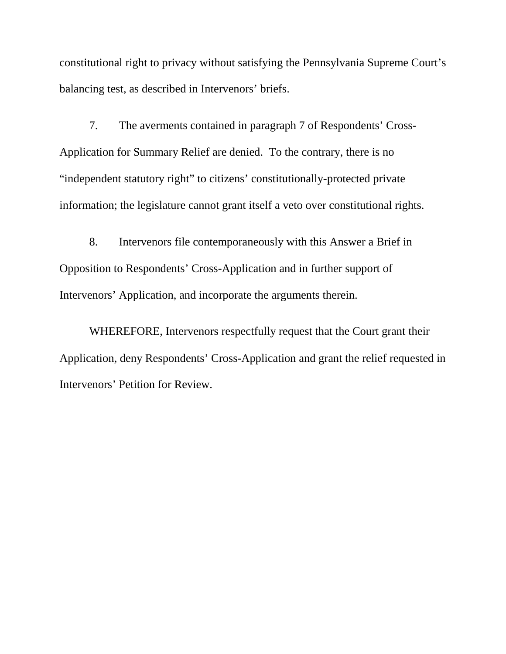constitutional right to privacy without satisfying the Pennsylvania Supreme Court's balancing test, as described in Intervenors' briefs.

7. The averments contained in paragraph 7 of Respondents' Cross-Application for Summary Relief are denied. To the contrary, there is no "independent statutory right" to citizens' constitutionally-protected private information; the legislature cannot grant itself a veto over constitutional rights.

8. Intervenors file contemporaneously with this Answer a Brief in Opposition to Respondents' Cross-Application and in further support of Intervenors' Application, and incorporate the arguments therein.

WHEREFORE, Intervenors respectfully request that the Court grant their Application, deny Respondents' Cross-Application and grant the relief requested in Intervenors' Petition for Review.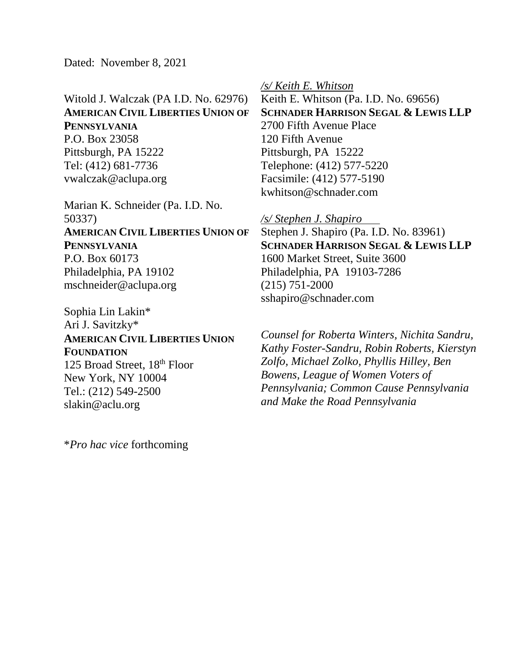Dated: November 8, 2021

Witold J. Walczak (PA I.D. No. 62976) **AMERICAN CIVIL LIBERTIES UNION OF PENNSYLVANIA** P.O. Box 23058 Pittsburgh, PA 15222 Tel: (412) 681-7736 vwalczak@aclupa.org

Marian K. Schneider (Pa. I.D. No. 50337) **AMERICAN CIVIL LIBERTIES UNION OF PENNSYLVANIA** P.O. Box 60173 Philadelphia, PA 19102 mschneider@aclupa.org

Sophia Lin Lakin\* Ari J. Savitzky\* **AMERICAN CIVIL LIBERTIES UNION FOUNDATION** 125 Broad Street, 18<sup>th</sup> Floor New York, NY 10004 Tel.: (212) 549-2500 slakin@aclu.org

\**Pro hac vice* forthcoming

*/s/ Keith E. Whitson* 

Keith E. Whitson (Pa. I.D. No. 69656) **SCHNADER HARRISON SEGAL & LEWIS LLP** 2700 Fifth Avenue Place 120 Fifth Avenue Pittsburgh, PA 15222 Telephone: (412) 577-5220 Facsimile: (412) 577-5190 kwhitson@schnader.com

*/s/ Stephen J. Shapiro* 

Stephen J. Shapiro (Pa. I.D. No. 83961) **SCHNADER HARRISON SEGAL & LEWIS LLP**  1600 Market Street, Suite 3600 Philadelphia, PA 19103-7286 (215) 751-2000 sshapiro@schnader.com

*Counsel for Roberta Winters, Nichita Sandru, Kathy Foster-Sandru, Robin Roberts, Kierstyn Zolfo, Michael Zolko, Phyllis Hilley, Ben Bowens, League of Women Voters of Pennsylvania; Common Cause Pennsylvania and Make the Road Pennsylvania*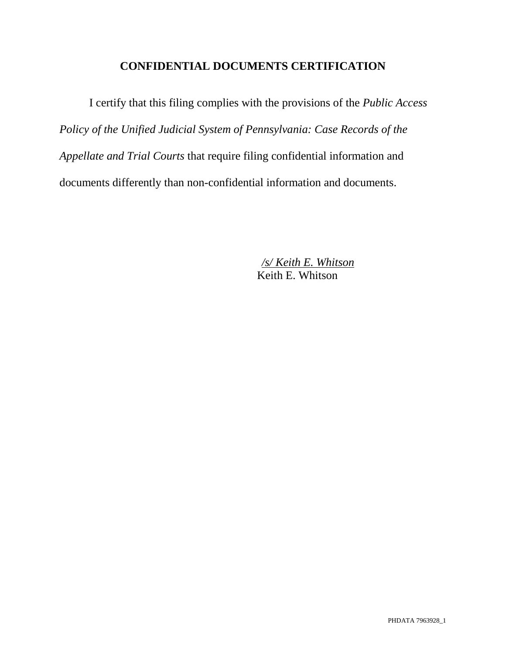## **CONFIDENTIAL DOCUMENTS CERTIFICATION**

I certify that this filing complies with the provisions of the *Public Access Policy of the Unified Judicial System of Pennsylvania: Case Records of the Appellate and Trial Courts* that require filing confidential information and documents differently than non-confidential information and documents.

> */s/ Keith E. Whitson*  Keith E. Whitson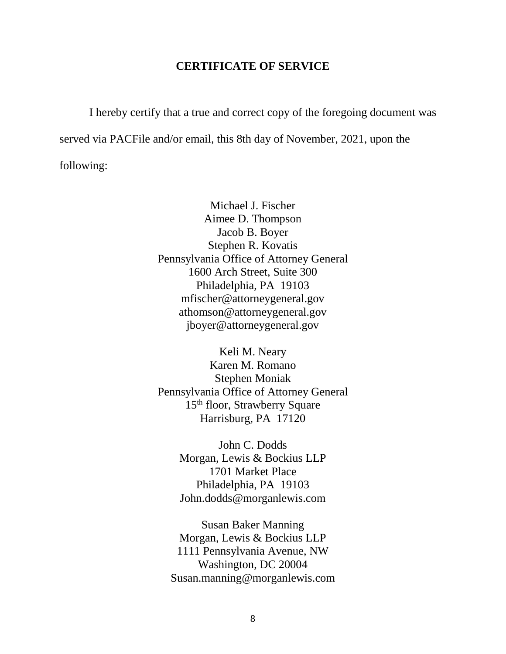## **CERTIFICATE OF SERVICE**

I hereby certify that a true and correct copy of the foregoing document was served via PACFile and/or email, this 8th day of November, 2021, upon the following:

> Michael J. Fischer Aimee D. Thompson Jacob B. Boyer Stephen R. Kovatis Pennsylvania Office of Attorney General 1600 Arch Street, Suite 300 Philadelphia, PA 19103 mfischer@attorneygeneral.gov athomson@attorneygeneral.gov jboyer@attorneygeneral.gov

> Keli M. Neary Karen M. Romano Stephen Moniak Pennsylvania Office of Attorney General 15th floor, Strawberry Square Harrisburg, PA 17120

> > John C. Dodds Morgan, Lewis & Bockius LLP 1701 Market Place Philadelphia, PA 19103 John.dodds@morganlewis.com

Susan Baker Manning Morgan, Lewis & Bockius LLP 1111 Pennsylvania Avenue, NW Washington, DC 20004 Susan.manning@morganlewis.com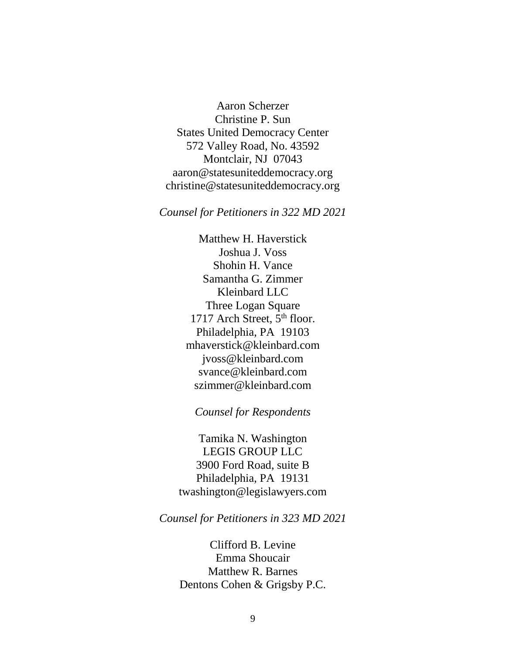Aaron Scherzer Christine P. Sun States United Democracy Center 572 Valley Road, No. 43592 Montclair, NJ 07043 aaron@statesuniteddemocracy.org christine@statesuniteddemocracy.org

*Counsel for Petitioners in 322 MD 2021* 

Matthew H. Haverstick Joshua J. Voss Shohin H. Vance Samantha G. Zimmer Kleinbard LLC Three Logan Square 1717 Arch Street, 5<sup>th</sup> floor. Philadelphia, PA 19103 mhaverstick@kleinbard.com jvoss@kleinbard.com svance@kleinbard.com szimmer@kleinbard.com

*Counsel for Respondents* 

Tamika N. Washington LEGIS GROUP LLC 3900 Ford Road, suite B Philadelphia, PA 19131 twashington@legislawyers.com

*Counsel for Petitioners in 323 MD 2021* 

Clifford B. Levine Emma Shoucair Matthew R. Barnes Dentons Cohen & Grigsby P.C.